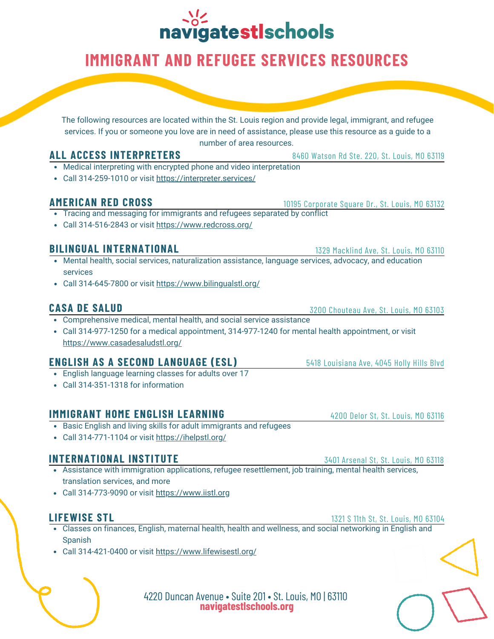# navigatestIschools

# **IMMIGRANT AND REFUGEE SERVICES RESOURCES**

The following resources are located within the St. Louis region and provide legal, immigrant, and refugee services. If you or someone you love are in need of assistance, please use this resource as a guide to a number of area resources.

### **ALL ACCESS INTERPRETERS**

- Medical interpreting with encrypted phone and video interpretation
- Call 314-259-1010 or visit <https://interpreter.services/>

### **AMERICAN RED CROSS**

10195 Corporate Square Dr., St. Louis, MO 63132

- Tracing and messaging for immigrants and refugees separated by conflict
- Call 314-516-2843 or visit <https://www.redcross.org/>

### **BILINGUAL INTERNATIONAL**

- Mental health, social services, naturalization assistance, language services, advocacy, and education services
- Call 314-645-7800 or visit <https://www.bilingualstl.org/>

### **CASA DE SALUD**

- Comprehensive medical, mental health, and social service assistance
- Call 314-977-1250 for a medical appointment, 314-977-1240 for mental health appointment, or visit <https://www.casadesaludstl.org/>

### **ENGLISH AS A SECOND LANGUAGE (ESL)**

- English language learning classes for adults over 17
- Call 314-351-1318 for information

### **IMMIGRANT HOME ENGLISH LEARNING**

- Basic English and living skills for adult immigrants and refugees
- Call 314-771-1104 or visit <https://ihelpstl.org/>

### **INTERNATIONAL INSTITUTE**

- Assistance with immigration applications, refugee resettlement, job training, mental health services, translation services, and more
- Call 314-773-9090 or visit [https://www.iistl.org](https://www.iistl.org/)

### **LIFEWISE STL**

- Classes on finances, English, maternal health, health and wellness, and social networking in English and **Spanish**
- Call 314-421-0400 or visit <https://www.lifewisestl.org/>

4220 Duncan Avenue • Suite 201 • St. Louis, MO | 63110 **navigatestlschools.org**

3200 Chouteau Ave, St. Louis, MO 63103

1329 Macklind Ave, St. Louis, MO 63110

5418 Louisiana Ave, 4045 Holly Hills Blvd

4200 Delor St, St. Louis, MO 63116

3401 Arsenal St, St. Louis, MO 63118

1321 S 11th St, St. Louis, MO 63104

8460 Watson Rd Ste. 220, St. Louis, MO 63119